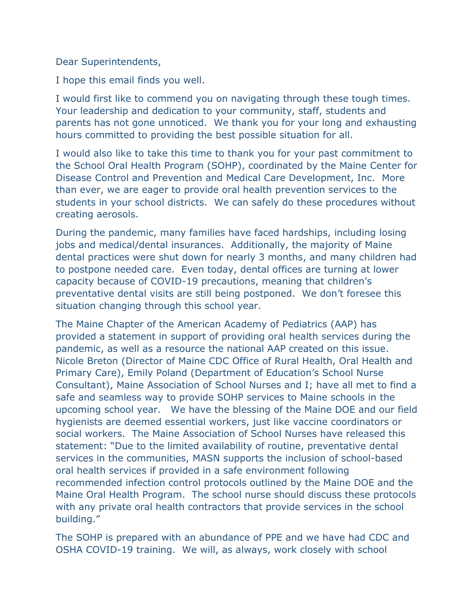Dear Superintendents,

I hope this email finds you well.

I would first like to commend you on navigating through these tough times. Your leadership and dedication to your community, staff, students and parents has not gone unnoticed. We thank you for your long and exhausting hours committed to providing the best possible situation for all.

I would also like to take this time to thank you for your past commitment to the School Oral Health Program (SOHP), coordinated by the Maine Center for Disease Control and Prevention and Medical Care Development, Inc. More than ever, we are eager to provide oral health prevention services to the students in your school districts. We can safely do these procedures without creating aerosols.

During the pandemic, many families have faced hardships, including losing jobs and medical/dental insurances. Additionally, the majority of Maine dental practices were shut down for nearly 3 months, and many children had to postpone needed care. Even today, dental offices are turning at lower capacity because of COVID-19 precautions, meaning that children's preventative dental visits are still being postponed. We don't foresee this situation changing through this school year.

The Maine Chapter of the American Academy of Pediatrics (AAP) has provided a statement in support of providing oral health services during the pandemic, as well as a resource the national AAP created on this issue. Nicole Breton (Director of Maine CDC Office of Rural Health, Oral Health and Primary Care), Emily Poland (Department of Education's School Nurse Consultant), Maine Association of School Nurses and I; have all met to find a safe and seamless way to provide SOHP services to Maine schools in the upcoming school year. We have the blessing of the Maine DOE and our field hygienists are deemed essential workers, just like vaccine coordinators or social workers. The Maine Association of School Nurses have released this statement: "Due to the limited availability of routine, preventative dental services in the communities, MASN supports the inclusion of school-based oral health services if provided in a safe environment following recommended infection control protocols outlined by the Maine DOE and the Maine Oral Health Program. The school nurse should discuss these protocols with any private oral health contractors that provide services in the school building."

The SOHP is prepared with an abundance of PPE and we have had CDC and OSHA COVID-19 training. We will, as always, work closely with school